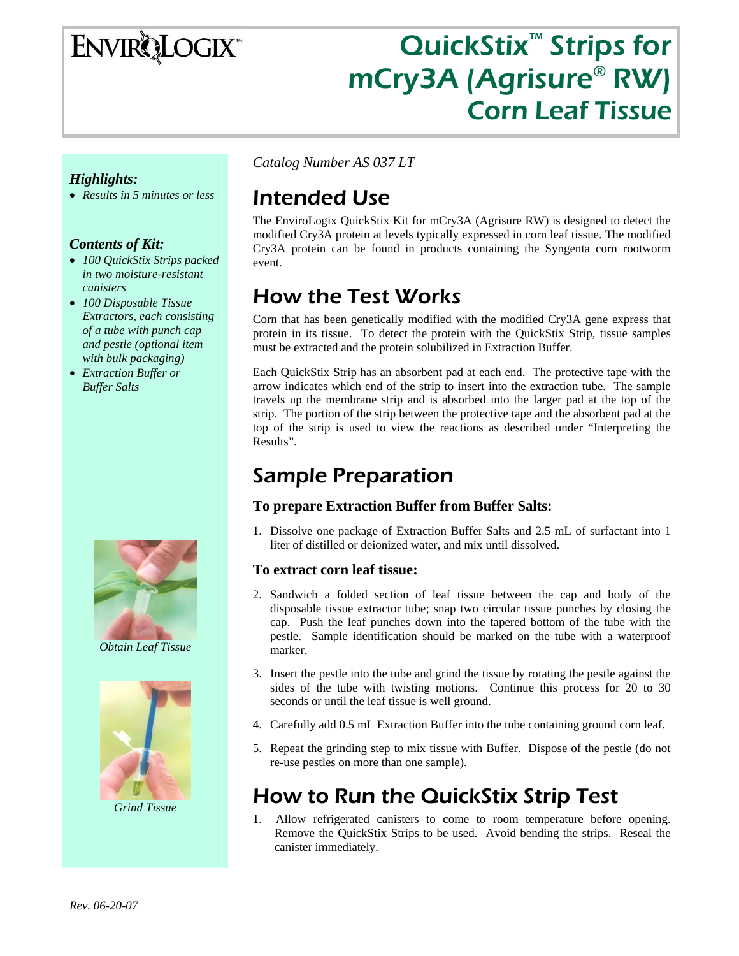# **ENVIRQLOGIX**

## QuickStix<sup>™</sup> Strips for mCry3A (Agrisure® RW) Corn Leaf Tissue

#### *Highlights:*

• *Results in 5 minutes or less* 

#### *Contents of Kit:*

- *100 QuickStix Strips packed in two moisture-resistant canisters*
- *100 Disposable Tissue Extractors, each consisting of a tube with punch cap and pestle (optional item with bulk packaging)*
- *Extraction Buffer or Buffer Salts*



*Obtain Leaf Tissue* 



*Grind Tissue* 

*Catalog Number AS 037 LT* 

### Intended Use

The EnviroLogix QuickStix Kit for mCry3A (Agrisure RW) is designed to detect the modified Cry3A protein at levels typically expressed in corn leaf tissue. The modified Cry3A protein can be found in products containing the Syngenta corn rootworm event.

### How the Test Works

Corn that has been genetically modified with the modified Cry3A gene express that protein in its tissue. To detect the protein with the QuickStix Strip, tissue samples must be extracted and the protein solubilized in Extraction Buffer.

Each QuickStix Strip has an absorbent pad at each end. The protective tape with the arrow indicates which end of the strip to insert into the extraction tube. The sample travels up the membrane strip and is absorbed into the larger pad at the top of the strip. The portion of the strip between the protective tape and the absorbent pad at the top of the strip is used to view the reactions as described under "Interpreting the Results".

### Sample Preparation

#### **To prepare Extraction Buffer from Buffer Salts:**

1. Dissolve one package of Extraction Buffer Salts and 2.5 mL of surfactant into 1 liter of distilled or deionized water, and mix until dissolved.

#### **To extract corn leaf tissue:**

- 2. Sandwich a folded section of leaf tissue between the cap and body of the disposable tissue extractor tube; snap two circular tissue punches by closing the cap. Push the leaf punches down into the tapered bottom of the tube with the pestle. Sample identification should be marked on the tube with a waterproof marker.
- 3. Insert the pestle into the tube and grind the tissue by rotating the pestle against the sides of the tube with twisting motions. Continue this process for 20 to 30 seconds or until the leaf tissue is well ground.
- 4. Carefully add 0.5 mL Extraction Buffer into the tube containing ground corn leaf.
- 5. Repeat the grinding step to mix tissue with Buffer. Dispose of the pestle (do not re-use pestles on more than one sample).

### How to Run the QuickStix Strip Test

1. Allow refrigerated canisters to come to room temperature before opening. Remove the QuickStix Strips to be used. Avoid bending the strips. Reseal the canister immediately.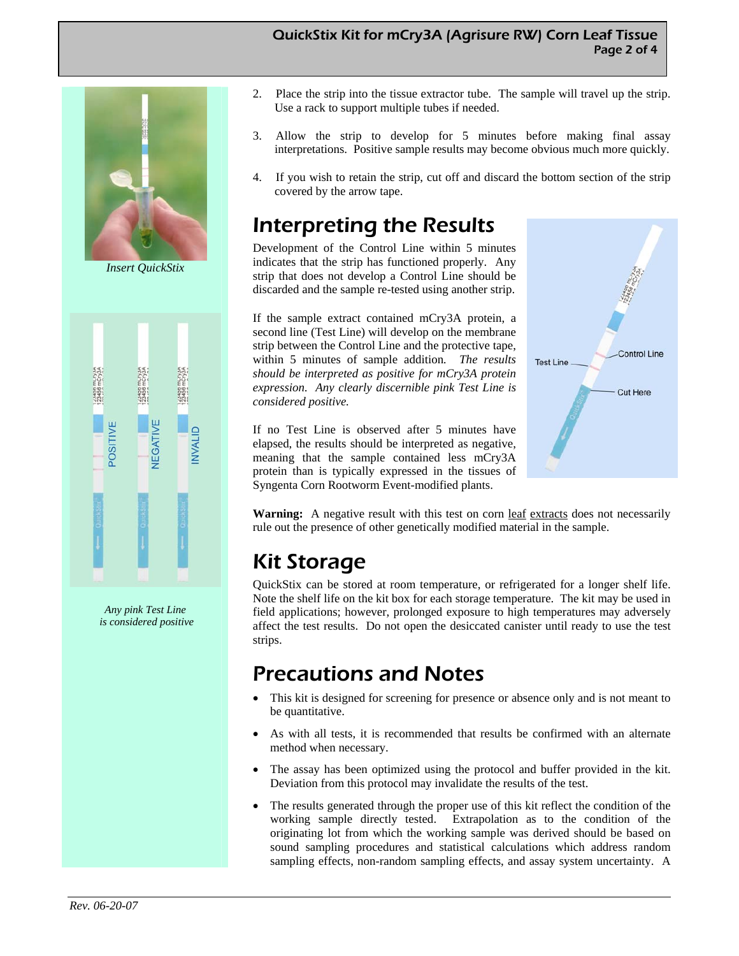#### QuickStix Kit for mCry3A (Agrisure RW) Corn Leaf Tissue Page 2 of 4



*Insert QuickStix* 



*Any pink Test Line is considered positive* 

- 2. Place the strip into the tissue extractor tube. The sample will travel up the strip. Use a rack to support multiple tubes if needed.
- 3. Allow the strip to develop for 5 minutes before making final assay interpretations. Positive sample results may become obvious much more quickly.
- 4. If you wish to retain the strip, cut off and discard the bottom section of the strip covered by the arrow tape.

### Interpreting the Results

Development of the Control Line within 5 minutes indicates that the strip has functioned properly. Any strip that does not develop a Control Line should be discarded and the sample re-tested using another strip.

If the sample extract contained mCry3A protein, a second line (Test Line) will develop on the membrane strip between the Control Line and the protective tape, within 5 minutes of sample addition*. The results should be interpreted as positive for mCry3A protein expression*. *Any clearly discernible pink Test Line is considered positive.*

If no Test Line is observed after 5 minutes have elapsed, the results should be interpreted as negative, meaning that the sample contained less mCry3A protein than is typically expressed in the tissues of Syngenta Corn Rootworm Event-modified plants.



**Warning:** A negative result with this test on corn <u>leaf extracts</u> does not necessarily rule out the presence of other genetically modified material in the sample.

### Kit Storage

QuickStix can be stored at room temperature, or refrigerated for a longer shelf life. Note the shelf life on the kit box for each storage temperature. The kit may be used in field applications; however, prolonged exposure to high temperatures may adversely affect the test results. Do not open the desiccated canister until ready to use the test strips.

### Precautions and Notes

- This kit is designed for screening for presence or absence only and is not meant to be quantitative.
- As with all tests, it is recommended that results be confirmed with an alternate method when necessary.
- The assay has been optimized using the protocol and buffer provided in the kit. Deviation from this protocol may invalidate the results of the test.
- The results generated through the proper use of this kit reflect the condition of the working sample directly tested. Extrapolation as to the condition of the originating lot from which the working sample was derived should be based on sound sampling procedures and statistical calculations which address random sampling effects, non-random sampling effects, and assay system uncertainty. A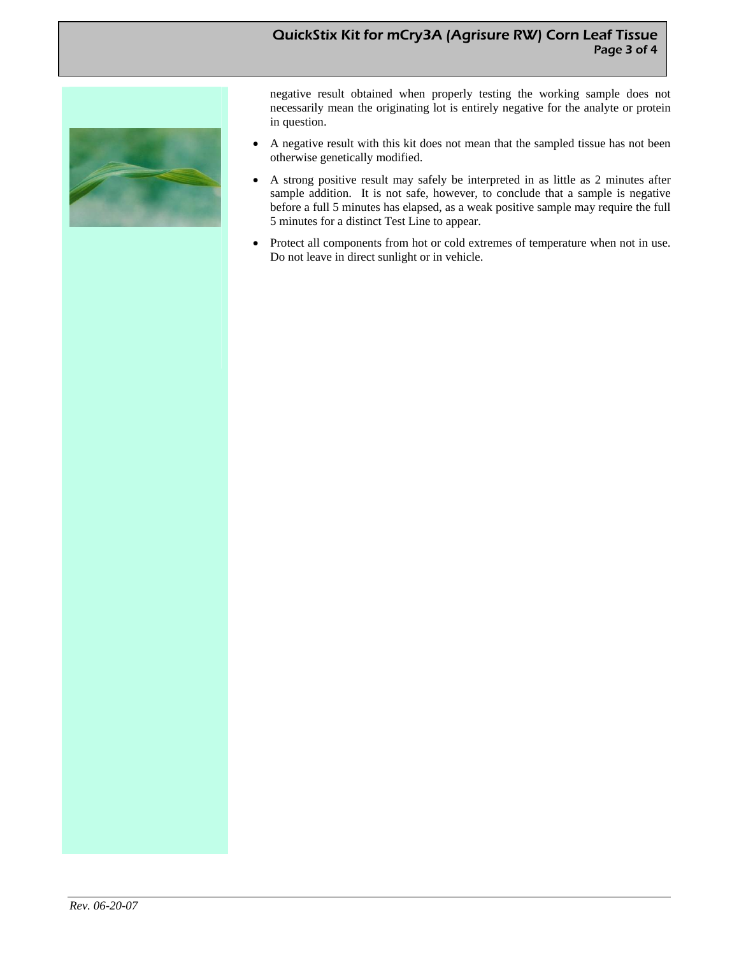#### QuickStix Kit for mCry3A (Agrisure RW) Corn Leaf Tissue Page 3 of 4



negative result obtained when properly testing the working sample does not necessarily mean the originating lot is entirely negative for the analyte or protein in question.

- A negative result with this kit does not mean that the sampled tissue has not been otherwise genetically modified.
- A strong positive result may safely be interpreted in as little as 2 minutes after sample addition. It is not safe, however, to conclude that a sample is negative before a full 5 minutes has elapsed, as a weak positive sample may require the full 5 minutes for a distinct Test Line to appear.
- Protect all components from hot or cold extremes of temperature when not in use. Do not leave in direct sunlight or in vehicle.